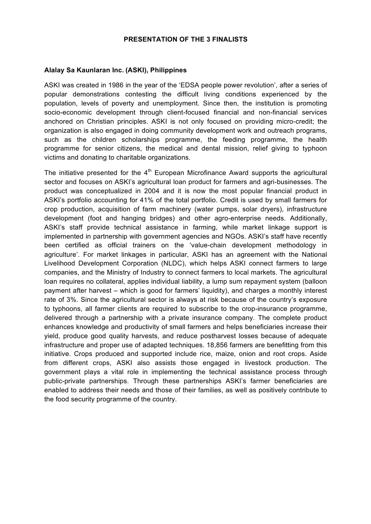## **PRESENTATION OF THE 3 FINALISTS**

## **Alalay Sa Kaunlaran Inc. (ASKI), Philippines**

ASKI was created in 1986 in the year of the 'EDSA people power revolution', after a series of popular demonstrations contesting the difficult living conditions experienced by the population, levels of poverty and unemployment. Since then, the institution is promoting socio-economic development through client-focused financial and non-financial services anchored on Christian principles. ASKI is not only focused on providing micro-credit; the organization is also engaged in doing community development work and outreach programs, such as the children scholarships programme, the feeding programme, the health programme for senior citizens, the medical and dental mission, relief giving to typhoon victims and donating to charitable organizations.

The initiative presented for the  $4<sup>th</sup>$  European Microfinance Award supports the agricultural sector and focuses on ASKI's agricultural loan product for farmers and agri-businesses. The product was conceptualized in 2004 and it is now the most popular financial product in ASKI's portfolio accounting for 41% of the total portfolio. Credit is used by small farmers for crop production, acquisition of farm machinery (water pumps, solar dryers), infrastructure development (foot and hanging bridges) and other agro-enterprise needs. Additionally, ASKI's staff provide technical assistance in farming, while market linkage support is implemented in partnership with government agencies and NGOs. ASKI's staff have recently been certified as official trainers on the 'value-chain development methodology in agriculture'. For market linkages in particular, ASKI has an agreement with the National Livelihood Development Corporation (NLDC), which helps ASKI connect farmers to large companies, and the Ministry of Industry to connect farmers to local markets. The agricultural loan requires no collateral, applies individual liability, a lump sum repayment system (balloon payment after harvest – which is good for farmers' liquidity), and charges a monthly interest rate of 3%. Since the agricultural sector is always at risk because of the country's exposure to typhoons, all farmer clients are required to subscribe to the crop-insurance programme, delivered through a partnership with a private insurance company. The complete product enhances knowledge and productivity of small farmers and helps beneficiaries increase their yield, produce good quality harvests, and reduce postharvest losses because of adequate infrastructure and proper use of adapted techniques. 18,856 farmers are benefitting from this initiative. Crops produced and supported include rice, maize, onion and root crops. Aside from different crops, ASKI also assists those engaged in livestock production. The government plays a vital role in implementing the technical assistance process through public-private partnerships. Through these partnerships ASKI's farmer beneficiaries are enabled to address their needs and those of their families, as well as positively contribute to the food security programme of the country.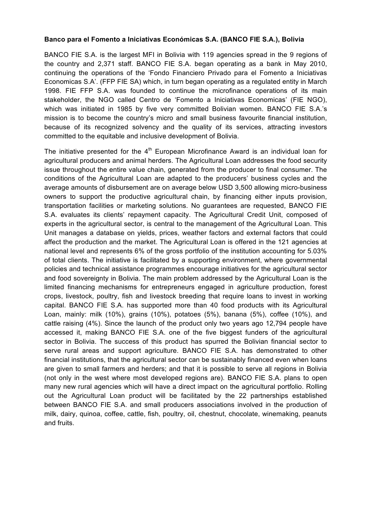## **Banco para el Fomento a Iniciativas Económicas S.A. (BANCO FIE S.A.), Bolivia**

BANCO FIE S.A. is the largest MFI in Bolivia with 119 agencies spread in the 9 regions of the country and 2,371 staff. BANCO FIE S.A. began operating as a bank in May 2010, continuing the operations of the 'Fondo Financiero Privado para el Fomento a Iniciativas Economicas S.A'. (FFP FIE SA) which, in turn began operating as a regulated entity in March 1998. FIE FFP S.A. was founded to continue the microfinance operations of its main stakeholder, the NGO called Centro de 'Fomento a Iniciativas Economicas' (FIE NGO), which was initiated in 1985 by five very committed Bolivian women. BANCO FIE S.A.'s mission is to become the country's micro and small business favourite financial institution, because of its recognized solvency and the quality of its services, attracting investors committed to the equitable and inclusive development of Bolivia.

The initiative presented for the  $4<sup>th</sup>$  European Microfinance Award is an individual loan for agricultural producers and animal herders. The Agricultural Loan addresses the food security issue throughout the entire value chain, generated from the producer to final consumer. The conditions of the Agricultural Loan are adapted to the producers' business cycles and the average amounts of disbursement are on average below USD 3,500 allowing micro-business owners to support the productive agricultural chain, by financing either inputs provision, transportation facilities or marketing solutions. No guarantees are requested, BANCO FIE S.A. evaluates its clients' repayment capacity. The Agricultural Credit Unit, composed of experts in the agricultural sector, is central to the management of the Agricultural Loan. This Unit manages a database on yields, prices, weather factors and external factors that could affect the production and the market. The Agricultural Loan is offered in the 121 agencies at national level and represents 6% of the gross portfolio of the institution accounting for 5.03% of total clients. The initiative is facilitated by a supporting environment, where governmental policies and technical assistance programmes encourage initiatives for the agricultural sector and food sovereignty in Bolivia. The main problem addressed by the Agricultural Loan is the limited financing mechanisms for entrepreneurs engaged in agriculture production, forest crops, livestock, poultry, fish and livestock breeding that require loans to invest in working capital. BANCO FIE S.A. has supported more than 40 food products with its Agricultural Loan, mainly: milk (10%), grains (10%), potatoes (5%), banana (5%), coffee (10%), and cattle raising (4%). Since the launch of the product only two years ago 12,794 people have accessed it, making BANCO FIE S.A. one of the five biggest funders of the agricultural sector in Bolivia. The success of this product has spurred the Bolivian financial sector to serve rural areas and support agriculture. BANCO FIE S.A. has demonstrated to other financial institutions, that the agricultural sector can be sustainably financed even when loans are given to small farmers and herders; and that it is possible to serve all regions in Bolivia (not only in the west where most developed regions are). BANCO FIE S.A. plans to open many new rural agencies which will have a direct impact on the agricultural portfolio. Rolling out the Agricultural Loan product will be facilitated by the 22 partnerships established between BANCO FIE S.A. and small producers associations involved in the production of milk, dairy, quinoa, coffee, cattle, fish, poultry, oil, chestnut, chocolate, winemaking, peanuts and fruits.